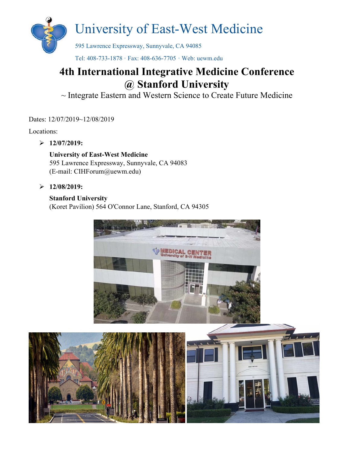

Tel: 408-733-1878 · Fax: 408-636-7705 · Web: uewm.edu

### **4th International Integrative Medicine Conference @ Stanford University**

~ Integrate Eastern and Western Science to Create Future Medicine

Dates:  $12/07/2019~12/08/2019$ 

Locations:

**12/07/2019:**

#### **University of East-West Medicine**  595 Lawrence Expressway, Sunnyvale, CA 94083 (E-mail: CIHForum@uewm.edu)

**12/08/2019:** 

#### **Stanford University**

(Koret Pavilion) 564 O'Connor Lane, Stanford, CA 94305



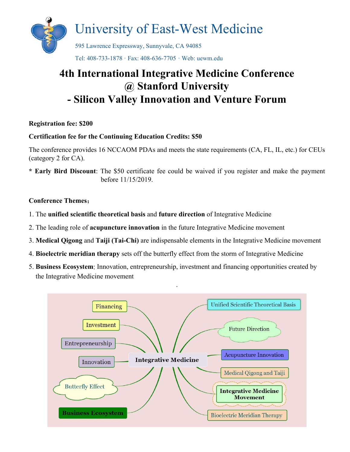

### **4th International Integrative Medicine Conference @ Stanford University - Silicon Valley Innovation and Venture Forum**

#### **Registration fee: \$200**

#### **Certification fee for the Continuing Education Credits: \$50**

The conference provides 16 NCCAOM PDAs and meets the state requirements (CA, FL, IL, etc.) for CEUs (category 2 for CA).

**\* Early Bird Discount**: The \$50 certificate fee could be waived if you register and make the payment before 11/15/2019.

#### **Conference Themes**:

- 1. The **unified scientific theoretical basis** and **future direction** of Integrative Medicine
- 2. The leading role of **acupuncture innovation** in the future Integrative Medicine movement
- 3. **Medical Qigong** and **Taiji (Tai-Chi)** are indispensable elements in the Integrative Medicine movement
- 4. **Bioelectric meridian therapy** sets off the butterfly effect from the storm of Integrative Medicine
- 5. **Business Ecosystem**: Innovation, entrepreneurship, investment and financing opportunities created by the Integrative Medicine movement

.

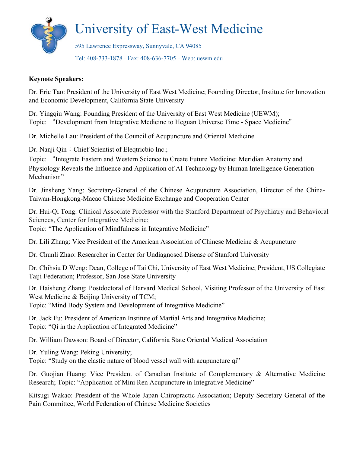

#### **Keynote Speakers:**

Dr. Eric Tao: President of the University of East West Medicine; Founding Director, Institute for Innovation and Economic Development, California State University

Dr. Yingqiu Wang: Founding President of the University of East West Medicine (UEWM); Topic: "Development from Integrative Medicine to Heguan Universe Time - Space Medicine"

Dr. Michelle Lau: President of the Council of Acupuncture and Oriental Medicine

Dr. Nanji Qin: Chief Scientist of Eleqtricbio Inc.;

Topic: "Integrate Eastern and Western Science to Create Future Medicine: Meridian Anatomy and Physiology Reveals the Influence and Application of AI Technology by Human Intelligence Generation Mechanism"

Dr. Jinsheng Yang: Secretary-General of the Chinese Acupuncture Association, Director of the China-Taiwan-Hongkong-Macao Chinese Medicine Exchange and Cooperation Center

Dr. Hui*-*Qi Tong: Clinical Associate Professor with the Stanford Department of Psychiatry and Behavioral Sciences, Center for Integrative Medicine; Topic: "The Application of Mindfulness in Integrative Medicine"

Dr. Lili Zhang: Vice President of the American Association of Chinese Medicine & Acupuncture

Dr. Chunli Zhao: Researcher in Center for Undiagnosed Disease of Stanford University

Dr. Chihsiu D Weng: Dean, College of Tai Chi, University of East West Medicine; President, US Collegiate Taiji Federation; Professor, San Jose State University

Dr. Haisheng Zhang: Postdoctoral of Harvard Medical School, Visiting Professor of the University of East West Medicine & Beijing University of TCM; Topic: "Mind Body System and Development of Integrative Medicine"

Dr. Jack Fu: President of American Institute of Martial Arts and Integrative Medicine; Topic: "Qi in the Application of Integrated Medicine"

Dr. William Dawson: Board of Director, California State Oriental Medical Association

Dr. Yuling Wang: Peking University;

Topic: "Study on the elastic nature of blood vessel wall with acupuncture qi"

Dr. Guojian Huang: Vice President of Canadian Institute of Complementary & Alternative Medicine Research; Topic: "Application of Mini Ren Acupuncture in Integrative Medicine"

Kitsugi Wakao: President of the Whole Japan Chiropractic Association; Deputy Secretary General of the Pain Committee, World Federation of Chinese Medicine Societies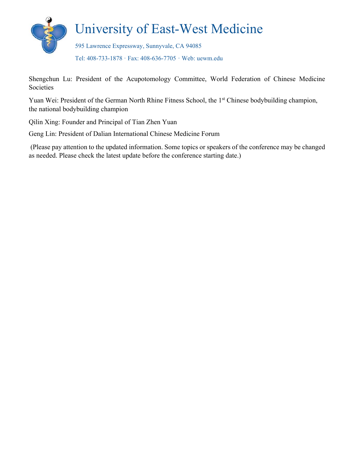

Shengchun Lu: President of the Acupotomology Committee, World Federation of Chinese Medicine Societies

Yuan Wei: President of the German North Rhine Fitness School, the 1<sup>st</sup> Chinese bodybuilding champion, the national bodybuilding champion

Qilin Xing: Founder and Principal of Tian Zhen Yuan

Geng Lin: President of Dalian International Chinese Medicine Forum

 (Please pay attention to the updated information. Some topics or speakers of the conference may be changed as needed. Please check the latest update before the conference starting date.)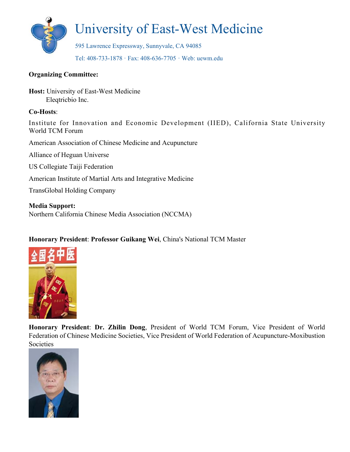

#### **Organizing Committee:**

**Host:** University of East-West Medicine Eleqtricbio Inc.

#### **Co-Hosts**:

Institute for Innovation and Economic Development (IIED), California State University World TCM Forum

American Association of Chinese Medicine and Acupuncture

Alliance of Heguan Universe

US Collegiate Taiji Federation

American Institute of Martial Arts and Integrative Medicine

TransGlobal Holding Company

**Media Support:**  Northern California Chinese Media Association (NCCMA)

#### **Honorary President**: **Professor Guikang Wei**, China's National TCM Master



**Honorary President**: **Dr. Zhilin Dong**, President of World TCM Forum, Vice President of World Federation of Chinese Medicine Societies, Vice President of World Federation of Acupuncture-Moxibustion Societies

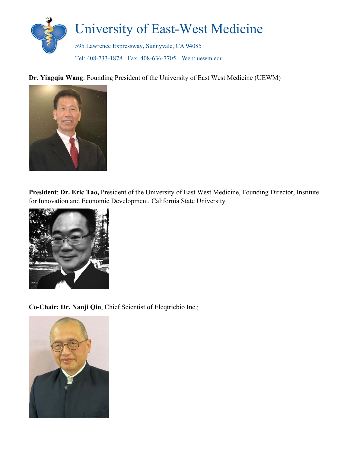

**Dr. Yingqiu Wang**: Founding President of the University of East West Medicine (UEWM)



**President**: **Dr. Eric Tao,** President of the University of East West Medicine, Founding Director, Institute for Innovation and Economic Development, California State University



**Co-Chair: Dr. Nanji Qin**, Chief Scientist of Eleqtricbio Inc.;

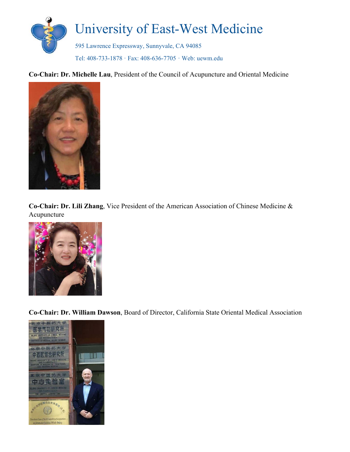

**Co-Chair: Dr. Michelle Lau**, President of the Council of Acupuncture and Oriental Medicine



**Co-Chair: Dr. Lili Zhang**, Vice President of the American Association of Chinese Medicine & Acupuncture



**Co-Chair: Dr. William Dawson**, Board of Director, California State Oriental Medical Association

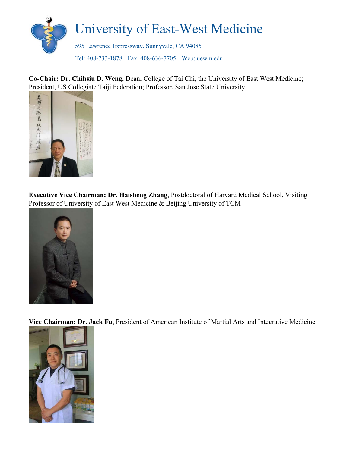

**Co-Chair: Dr. Chihsiu D. Weng**, Dean, College of Tai Chi, the University of East West Medicine; President, US Collegiate Taiji Federation; Professor, San Jose State University



**Executive Vice Chairman: Dr. Haisheng Zhang**, Postdoctoral of Harvard Medical School, Visiting Professor of University of East West Medicine & Beijing University of TCM



**Vice Chairman: Dr. Jack Fu**, President of American Institute of Martial Arts and Integrative Medicine

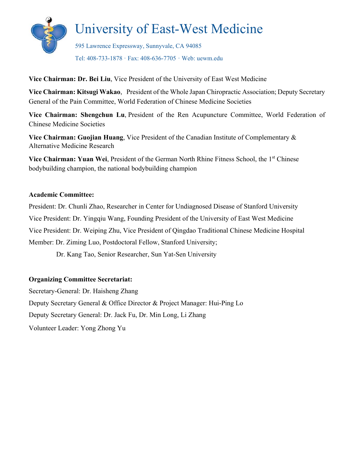

**Vice Chairman: Dr. Bei Liu**, Vice President of the University of East West Medicine

**Vice Chairman: Kitsugi Wakao**, President of the Whole Japan Chiropractic Association; Deputy Secretary General of the Pain Committee, World Federation of Chinese Medicine Societies

Vice Chairman: Shengchun Lu, President of the Ren Acupuncture Committee, World Federation of Chinese Medicine Societies

**Vice Chairman: Guojian Huang**, Vice President of the Canadian Institute of Complementary & Alternative Medicine Research

**Vice Chairman: Yuan Wei, President of the German North Rhine Fitness School, the 1<sup>st</sup> Chinese** bodybuilding champion, the national bodybuilding champion

#### **Academic Committee:**

President: Dr. Chunli Zhao, Researcher in Center for Undiagnosed Disease of Stanford University Vice President: Dr. Yingqiu Wang, Founding President of the University of East West Medicine Vice President: Dr. Weiping Zhu, Vice President of Qingdao Traditional Chinese Medicine Hospital Member: Dr. Ziming Luo, Postdoctoral Fellow, Stanford University;

Dr. Kang Tao, Senior Researcher, Sun Yat-Sen University

#### **Organizing Committee Secretariat:**

Secretary-General: Dr. Haisheng Zhang Deputy Secretary General & Office Director & Project Manager: Hui-Ping Lo Deputy Secretary General: Dr. Jack Fu, Dr. Min Long, Li Zhang Volunteer Leader: Yong Zhong Yu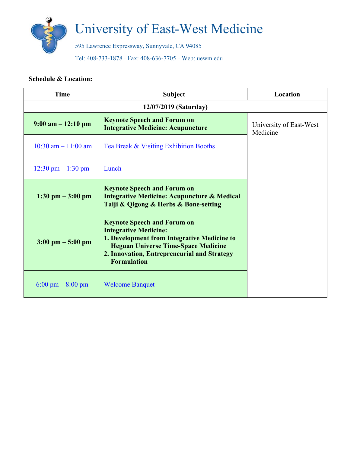

# University of East-West Medicine

595 Lawrence Expressway, Sunnyvale, CA 94085

Tel: 408-733-1878 · Fax: 408-636-7705 · Web: uewm.edu

#### **Schedule & Location:**

| <b>Time</b>                          | <b>Subject</b>                                                                                                                                                                                                                       | Location                            |  |  |
|--------------------------------------|--------------------------------------------------------------------------------------------------------------------------------------------------------------------------------------------------------------------------------------|-------------------------------------|--|--|
| 12/07/2019 (Saturday)                |                                                                                                                                                                                                                                      |                                     |  |  |
| $9:00$ am $-12:10$ pm                | <b>Keynote Speech and Forum on</b><br><b>Integrative Medicine: Acupuncture</b>                                                                                                                                                       | University of East-West<br>Medicine |  |  |
| $10:30$ am $-11:00$ am               | Tea Break & Visiting Exhibition Booths                                                                                                                                                                                               |                                     |  |  |
| $12:30 \text{ pm} - 1:30 \text{ pm}$ | Lunch                                                                                                                                                                                                                                |                                     |  |  |
| $1:30 \text{ pm} - 3:00 \text{ pm}$  | <b>Keynote Speech and Forum on</b><br><b>Integrative Medicine: Acupuncture &amp; Medical</b><br>Taiji & Qigong & Herbs & Bone-setting                                                                                                |                                     |  |  |
| $3:00 \text{ pm} - 5:00 \text{ pm}$  | <b>Keynote Speech and Forum on</b><br><b>Integrative Medicine:</b><br>1. Development from Integrative Medicine to<br><b>Heguan Universe Time-Space Medicine</b><br>2. Innovation, Entrepreneurial and Strategy<br><b>Formulation</b> |                                     |  |  |
| $6:00 \text{ pm} - 8:00 \text{ pm}$  | <b>Welcome Banquet</b>                                                                                                                                                                                                               |                                     |  |  |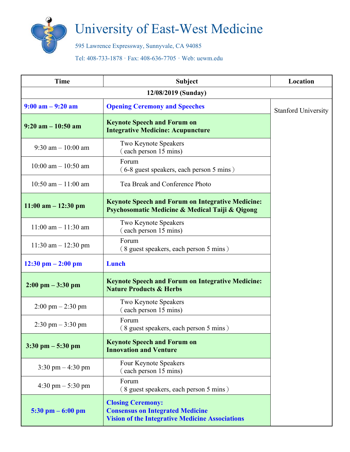

## University of East-West Medicine

595 Lawrence Expressway, Sunnyvale, CA 94085

Tel: 408-733-1878 · Fax: 408-636-7705 · Web: uewm.edu

| <b>Time</b>                          | <b>Subject</b>                                                                                                                | Location                   |  |  |
|--------------------------------------|-------------------------------------------------------------------------------------------------------------------------------|----------------------------|--|--|
| 12/08/2019 (Sunday)                  |                                                                                                                               |                            |  |  |
| $9:00$ am $-9:20$ am                 | <b>Opening Ceremony and Speeches</b>                                                                                          | <b>Stanford University</b> |  |  |
| $9:20$ am $-10:50$ am                | <b>Keynote Speech and Forum on</b><br><b>Integrative Medicine: Acupuncture</b>                                                |                            |  |  |
| $9:30$ am $-10:00$ am                | Two Keynote Speakers<br>(each person 15 mins)                                                                                 |                            |  |  |
| $10:00$ am $- 10:50$ am              | Forum<br>(6-8 guest speakers, each person 5 mins)                                                                             |                            |  |  |
| 10:50 am $-$ 11:00 am                | Tea Break and Conference Photo                                                                                                |                            |  |  |
| $11:00$ am $-12:30$ pm               | <b>Keynote Speech and Forum on Integrative Medicine:</b><br>Psychosomatic Medicine & Medical Taiji & Qigong                   |                            |  |  |
| $11:00$ am $- 11:30$ am              | Two Keynote Speakers<br>(each person 15 mins)                                                                                 |                            |  |  |
| $11:30$ am $- 12:30$ pm              | Forum<br>(8 guest speakers, each person 5 mins)                                                                               |                            |  |  |
| $12:30 \text{ pm} - 2:00 \text{ pm}$ | Lunch                                                                                                                         |                            |  |  |
| $2:00 \text{ pm} - 3:30 \text{ pm}$  | <b>Keynote Speech and Forum on Integrative Medicine:</b><br><b>Nature Products &amp; Herbs</b>                                |                            |  |  |
| $2:00 \text{ pm} - 2:30 \text{ pm}$  | Two Keynote Speakers<br>(each person 15 mins)                                                                                 |                            |  |  |
| $2:30 \text{ pm} - 3:30 \text{ pm}$  | Forum<br>$(8$ guest speakers, each person 5 mins)                                                                             |                            |  |  |
| $3:30$ pm $-5:30$ pm                 | <b>Keynote Speech and Forum on</b><br><b>Innovation and Venture</b>                                                           |                            |  |  |
| $3:30 \text{ pm} - 4:30 \text{ pm}$  | Four Keynote Speakers<br>(each person 15 mins)                                                                                |                            |  |  |
| $4:30 \text{ pm} - 5:30 \text{ pm}$  | Forum<br>(8 guest speakers, each person 5 mins)                                                                               |                            |  |  |
| 5:30 pm $-6:00$ pm                   | <b>Closing Ceremony:</b><br><b>Consensus on Integrated Medicine</b><br><b>Vision of the Integrative Medicine Associations</b> |                            |  |  |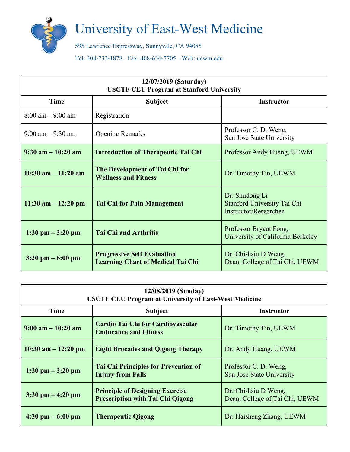

## University of East-West Medicine

595 Lawrence Expressway, Sunnyvale, CA 94085

Tel: 408-733-1878 · Fax: 408-636-7705 · Web: uewm.edu

| 12/07/2019 (Saturday)<br><b>USCTF CEU Program at Stanford University</b> |                                                                                |                                                                               |  |  |
|--------------------------------------------------------------------------|--------------------------------------------------------------------------------|-------------------------------------------------------------------------------|--|--|
| <b>Time</b>                                                              | <b>Subject</b>                                                                 | <b>Instructor</b>                                                             |  |  |
| $8:00 \text{ am} - 9:00 \text{ am}$                                      | Registration                                                                   |                                                                               |  |  |
| $9:00$ am $-9:30$ am                                                     | <b>Opening Remarks</b>                                                         | Professor C. D. Weng,<br>San Jose State University                            |  |  |
| $9:30$ am $-10:20$ am                                                    | <b>Introduction of Therapeutic Tai Chi</b>                                     | Professor Andy Huang, UEWM                                                    |  |  |
| $10:30$ am $-11:20$ am                                                   | The Development of Tai Chi for<br><b>Wellness and Fitness</b>                  | Dr. Timothy Tin, UEWM                                                         |  |  |
| $11:30$ am $-12:20$ pm                                                   | <b>Tai Chi for Pain Management</b>                                             | Dr. Shudong Li<br>Stanford University Tai Chi<br><b>Instructor/Researcher</b> |  |  |
| $1:30 \text{ pm} - 3:20 \text{ pm}$                                      | <b>Tai Chi and Arthritis</b>                                                   | Professor Bryant Fong,<br>University of California Berkeley                   |  |  |
| $3:20 \text{ pm} - 6:00 \text{ pm}$                                      | <b>Progressive Self Evaluation</b><br><b>Learning Chart of Medical Tai Chi</b> | Dr. Chi-hsiu D Weng,<br>Dean, College of Tai Chi, UEWM                        |  |  |

| 12/08/2019 (Sunday)<br><b>USCTF CEU Program at University of East-West Medicine</b> |                                                                                   |                                                        |  |  |
|-------------------------------------------------------------------------------------|-----------------------------------------------------------------------------------|--------------------------------------------------------|--|--|
| <b>Time</b>                                                                         | <b>Subject</b>                                                                    | <b>Instructor</b>                                      |  |  |
| $9:00$ am $-10:20$ am                                                               | Cardio Tai Chi for Cardiovascular<br><b>Endurance and Fitness</b>                 | Dr. Timothy Tin, UEWM                                  |  |  |
| $10:30$ am $-12:20$ pm                                                              | <b>Eight Brocades and Qigong Therapy</b>                                          | Dr. Andy Huang, UEWM                                   |  |  |
| $1:30 \text{ pm} - 3:20 \text{ pm}$                                                 | <b>Tai Chi Principles for Prevention of</b><br><b>Injury from Falls</b>           | Professor C. D. Weng,<br>San Jose State University     |  |  |
| $3:30 \text{ pm} - 4:20 \text{ pm}$                                                 | <b>Principle of Designing Exercise</b><br><b>Prescription with Tai Chi Qigong</b> | Dr. Chi-hsiu D Weng,<br>Dean, College of Tai Chi, UEWM |  |  |
| $4:30 \text{ pm} - 6:00 \text{ pm}$                                                 | <b>Therapeutic Qigong</b>                                                         | Dr. Haisheng Zhang, UEWM                               |  |  |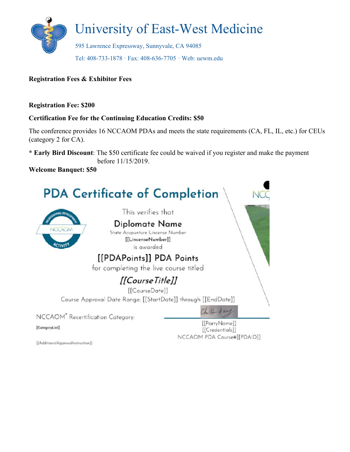

#### **Registration Fees & Exhibitor Fees**

#### **Registration Fee: \$200**

#### **Certification Fee for the Continuing Education Credits: \$50**

The conference provides 16 NCCAOM PDAs and meets the state requirements (CA, FL, IL, etc.) for CEUs (category 2 for CA).

**\* Early Bird Discount**: The \$50 certificate fee could be waived if you register and make the payment before 11/15/2019.

**Welcome Banquet: \$50** 

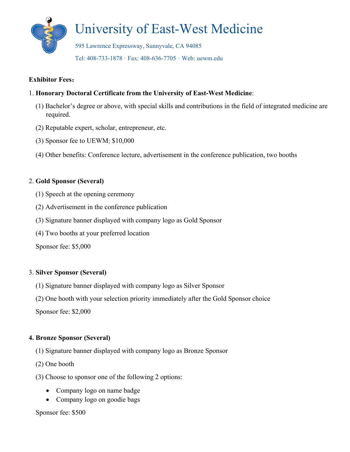

#### **Exhibitor Fees**:

#### 1. **Honorary Doctoral Certificate from the University of East-West Medicine**:

- (1) Bachelor's degree or above, with special skills and contributions in the field of integrated medicine are required.
- (2) Reputable expert, scholar, entrepreneur, etc.
- (3) Sponsor fee to UEWM: \$10,000
- (4) Other benefits: Conference lecture, advertisement in the conference publication, two booths

#### 2. **Gold Sponsor (Several)**

- (1) Speech at the opening ceremony
- (2) Advertisement in the conference publication
- (3) Signature banner displayed with company logo as Gold Sponsor
- (4) Two booths at your preferred location

Sponsor fee: \$5,000

#### 3. **Silver Sponsor (Several)**

- (1) Signature banner displayed with company logo as Silver Sponsor
- (2) One booth with your selection priority immediately after the Gold Sponsor choice

Sponsor fee: \$2,000

#### **4. Bronze Sponsor (Several)**

- (1) Signature banner displayed with company logo as Bronze Sponsor
- (2) One booth
- (3) Choose to sponsor one of the following 2 options:
	- Company logo on name badge
	- Company logo on goodie bags

#### Sponsor fee: \$500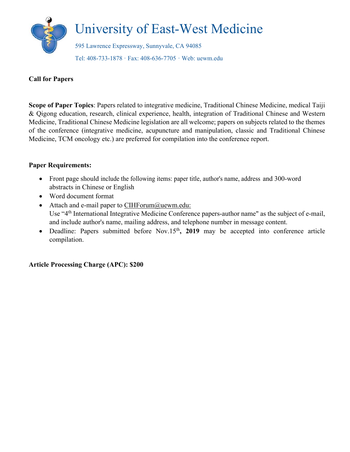

#### **Call for Papers**

**Scope of Paper Topics**: Papers related to integrative medicine, Traditional Chinese Medicine, medical Taiji & Qigong education, research, clinical experience, health, integration of Traditional Chinese and Western Medicine, Traditional Chinese Medicine legislation are all welcome; papers on subjects related to the themes of the conference (integrative medicine, acupuncture and manipulation, classic and Traditional Chinese Medicine, TCM oncology etc.) are preferred for compilation into the conference report.

#### **Paper Requirements:**

- Front page should include the following items: paper title, author's name, address and 300-word abstracts in Chinese or English
- Word document format
- Attach and e-mail paper to CIHForum@uewm.edu: Use "4<sup>th</sup> International Integrative Medicine Conference papers-author name" as the subject of e-mail, and include author's name, mailing address, and telephone number in message content.
- Deadline: Papers submitted before Nov.15<sup>th</sup>, 2019 may be accepted into conference article compilation.

**Article Processing Charge (APC): \$200**